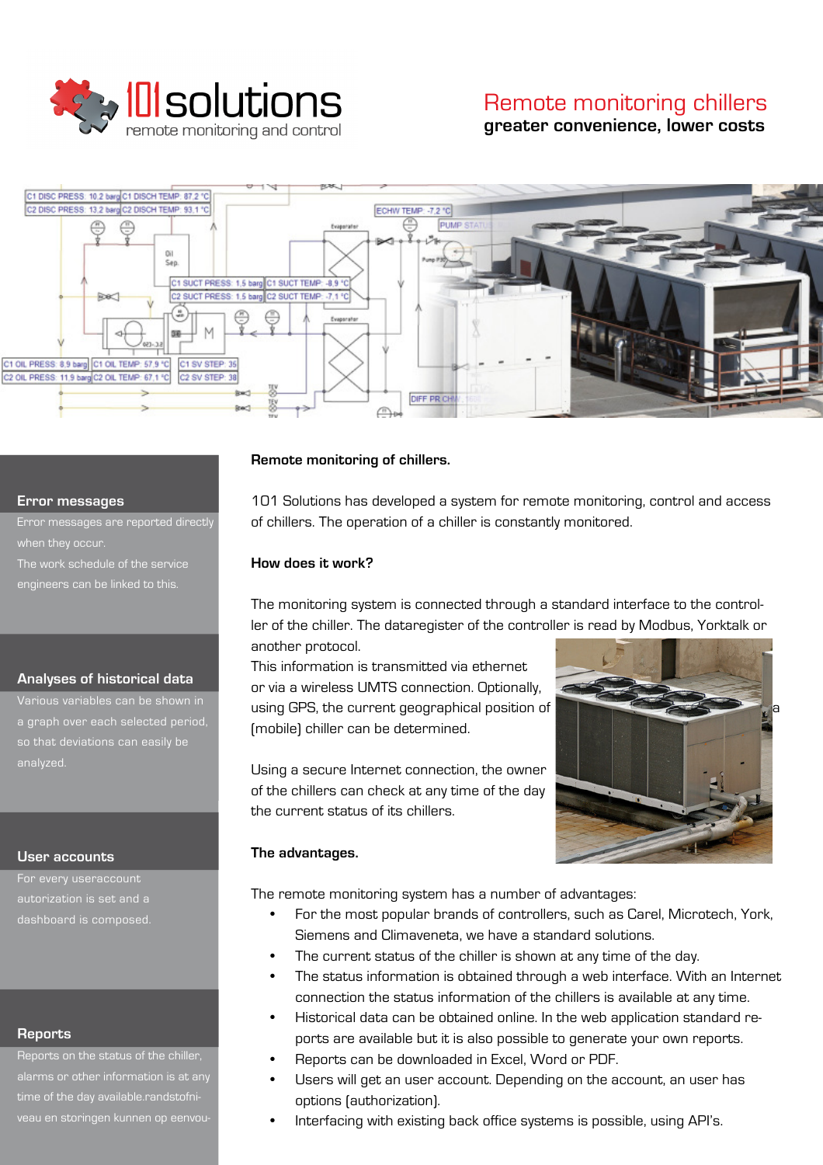

# Remote monitoring chillers **greater convenience, lower costs**



#### **Error messages**

Error messages are reported directly when they occur. The work schedule of the service engineers can be linked to this.

### **Analyses of historical data**

a graph over each selected period, so that deviations can easily be analyzed.

### **User accounts**

dashboard is composed.

### **Reports**

Reports on the status of the chiller, alarms or other information is at any time of the day available.randstofniveau en storingen kunnen op eenvou-

### **Remote monitoring of chillers.**

101 Solutions has developed a system for remote monitoring, control and access of chillers. The operation of a chiller is constantly monitored.

### **How does it work?**

The monitoring system is connected through a standard interface to the controller of the chiller. The dataregister of the controller is read by Modbus, Yorktalk or another protocol.

This information is transmitted via ethernet or via a wireless UMTS connection. Optionally, using GPS, the current geographical position of (mobile) chiller can be determined.

Using a secure Internet connection, the owner of the chillers can check at any time of the day the current status of its chillers.



### **The advantages.**

The remote monitoring system has a number of advantages:

- For the most popular brands of controllers, such as Carel, Microtech, York, Siemens and Climaveneta, we have a standard solutions.
- The current status of the chiller is shown at any time of the day.
- The status information is obtained through a web interface. With an Internet connection the status information of the chillers is available at any time.
- Historical data can be obtained online. In the web application standard reports are available but it is also possible to generate your own reports.
- Reports can be downloaded in Excel, Word or PDF.
- Users will get an user account. Depending on the account, an user has options (authorization).
- Interfacing with existing back office systems is possible, using API's.